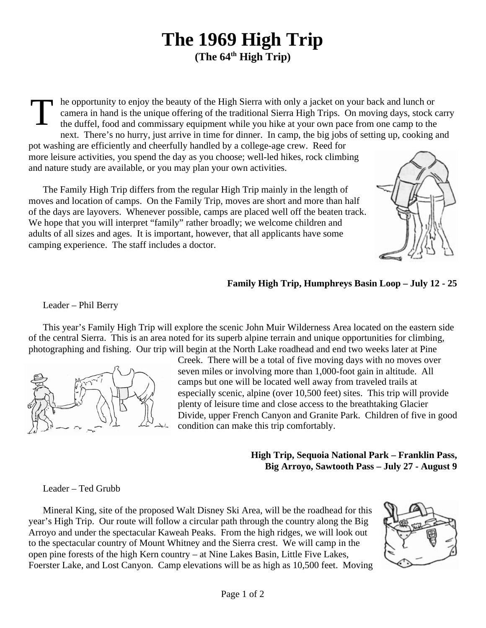## **The 1969 High Trip (The 64th High Trip)**

T he opportunity to enjoy the beauty of the High Sierra with only a jacket on your back and lunch or camera in hand is the unique offering of the traditional Sierra High Trips. On moving days, stock carry the duffel, food and commissary equipment while you hike at your own pace from one camp to the next. There's no hurry, just arrive in time for dinner. In camp, the big jobs of setting up, cooking and

pot washing are efficiently and cheerfully handled by a college-age crew. Reed for more leisure activities, you spend the day as you choose; well-led hikes, rock climbing and nature study are available, or you may plan your own activities.

The Family High Trip differs from the regular High Trip mainly in the length of moves and location of camps. On the Family Trip, moves are short and more than half of the days are layovers. Whenever possible, camps are placed well off the beaten track. We hope that you will interpret "family" rather broadly; we welcome children and adults of all sizes and ages. It is important, however, that all applicants have some camping experience. The staff includes a doctor.



## **Family High Trip, Humphreys Basin Loop – July 12 - 25**

Leader – Phil Berry

This year's Family High Trip will explore the scenic John Muir Wilderness Area located on the eastern side of the central Sierra. This is an area noted for its superb alpine terrain and unique opportunities for climbing, photographing and fishing. Our trip will begin at the North Lake roadhead and end two weeks later at Pine



Creek. There will be a total of five moving days with no moves over seven miles or involving more than 1,000-foot gain in altitude. All camps but one will be located well away from traveled trails at especially scenic, alpine (over 10,500 feet) sites. This trip will provide plenty of leisure time and close access to the breathtaking Glacier Divide, upper French Canyon and Granite Park. Children of five in good condition can make this trip comfortably.

## **High Trip, Sequoia National Park – Franklin Pass, Big Arroyo, Sawtooth Pass – July 27 - August 9**

Leader – Ted Grubb

Mineral King, site of the proposed Walt Disney Ski Area, will be the roadhead for this year's High Trip. Our route will follow a circular path through the country along the Big Arroyo and under the spectacular Kaweah Peaks. From the high ridges, we will look out to the spectacular country of Mount Whitney and the Sierra crest. We will camp in the open pine forests of the high Kern country – at Nine Lakes Basin, Little Five Lakes, Foerster Lake, and Lost Canyon. Camp elevations will be as high as 10,500 feet. Moving